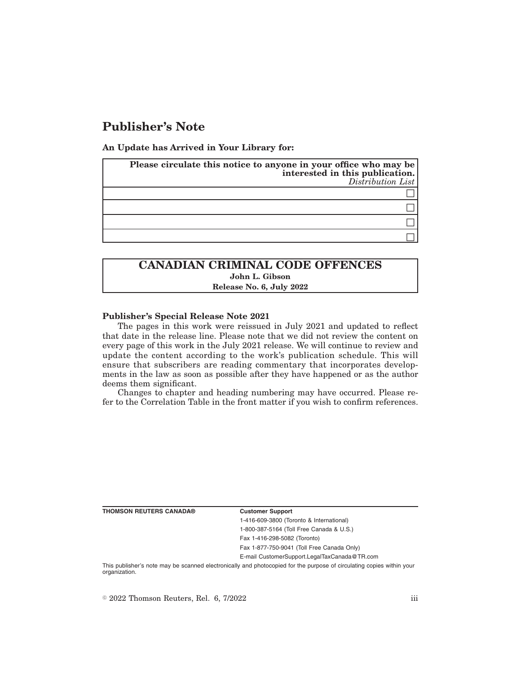# **Publisher's Note**

**An Update has Arrived in Your Library for:**

| Please circulate this notice to anyone in your office who may be<br>interested in this publication.<br>Distribution List |
|--------------------------------------------------------------------------------------------------------------------------|
|                                                                                                                          |
|                                                                                                                          |
|                                                                                                                          |
|                                                                                                                          |

## **CANADIAN CRIMINAL CODE OFFENCES John L. Gibson Release No. 6, July 2022**

### **Publisher's Special Release Note 2021**

The pages in this work were reissued in July 2021 and updated to reflect that date in the release line. Please note that we did not review the content on every page of this work in the July 2021 release. We will continue to review and update the content according to the work's publication schedule. This will ensure that subscribers are reading commentary that incorporates developments in the law as soon as possible after they have happened or as the author deems them significant.

Changes to chapter and heading numbering may have occurred. Please refer to the Correlation Table in the front matter if you wish to confirm references.

**THOMSON REUTERS CANADA® Customer Support**

1-416-609-3800 (Toronto & International) 1-800-387-5164 (Toll Free Canada & U.S.)

Fax 1-416-298-5082 (Toronto)

Fax 1-877-750-9041 (Toll Free Canada Only)

E-mail CustomerSupport.LegalTaxCanada@TR.com

This publisher's note may be scanned electronically and photocopied for the purpose of circulating copies within your organization.

 $\degree$  2022 Thomson Reuters, Rel. 6, 7/2022 iii